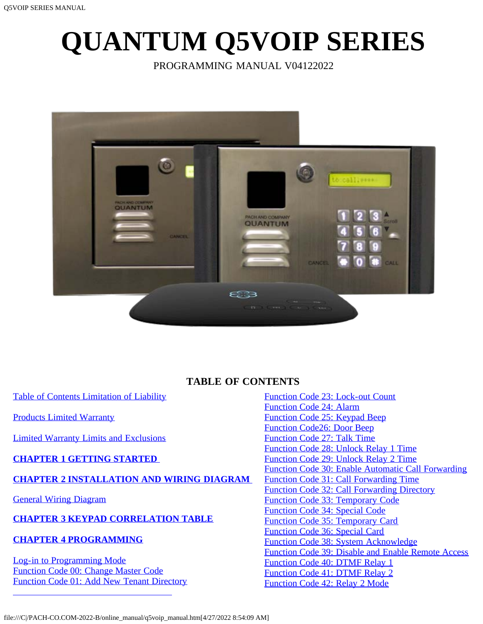# <span id="page-0-0"></span>**QUANTUM Q5VOIP SERIES**

PROGRAMMING MANUAL V04122022



# **TABLE OF CONTENTS**

<span id="page-0-1"></span>[Table of Contents](file:///C|/PACH-CO.COM-2022-B/online_manual/qc_series_manual.htm) [Limitation of Liability](#page-1-0)

[Products Limited Warranty](#page-1-1)

[Limited Warranty Limits and Exclusions](#page-2-0)

# **[CHAPTER 1 GETTING STARTED](#page-2-1)**

# **[CHAPTER 2 INSTALLATION AND WIRING DIAGRAM](#page-3-0)**

[General Wiring Diagram](#page-3-0)

# **[CHAPTER 3 KEYPAD CORRELATION TABLE](#page-5-0)**

# **[CHAPTER 4 PROGRAMMING](#page-5-1)**

[Log-in to Programming Mode](#page-5-2) [Function Code 00: Change Master Code](#page-5-3) [Function Code 01: Add New Tenant Directory](#page-6-0) [Function Code 23: Lock-out Count](#page-17-0) [Function Code 24: Alarm](#page-18-0) [Function Code 25: Keypad Beep](#page-18-1) [Function Code26: Door Beep](#page-18-2) [Function Code 27: Talk Time](#page-18-3) [Function Code 28: Unlock Relay 1 Time](#page-19-0) [Function Code 29: Unlock Relay 2 Time](#page-19-1) [Function Code 30: Enable Automatic Call Forwarding](#page-19-2) [Function Code 31: Call Forwarding Time](#page-20-0) [Function Code 32: Call Forwarding Directory](#page-20-1) [Function Code 33: Temporary Code](#page-20-2) [Function Code 34: Special Code](#page-22-0) [Function Code 35: Temporary Card](#page-23-0) [Function Code 36: Special Card](#page-24-0) [Function Code 38: System Acknowledge](#page-25-0) [Function Code 39: Disable and Enable Remote Access](#page-26-0) [Function Code 40: DTMF Relay 1](#page-26-1) [Function Code 41: DTMF Relay 2](#page-26-2) [Function Code 42: Relay 2 Mode](#page-27-0)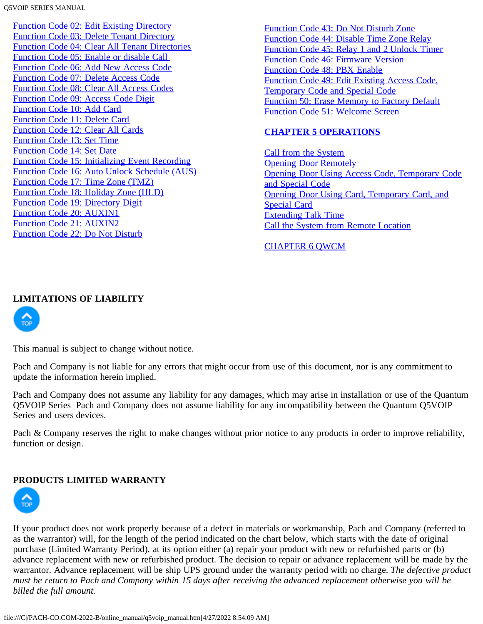Q5VOIP SERIES MANUAL

[Function Code 02: Edit Existing Directory](#page-6-1) [Function Code 03: Delete Tenant Directory](#page-7-0) [Function Code 04: Clear All Tenant Directories](#page-7-1) [Function Code 05: Enable or disable Call](#page-8-0)  [Function Code 06: Add New Access Code](#page-8-1) [Function Code 07: Delete Access Code](#page-9-0) [Function Code 08: Clear All Access Codes](#page-9-1) [Function Code 09: Access Code Digit](#page-10-0) [Function Code 10: Add Card](#page-0-0) [Function Code 11: Delete Card](#page-11-0) [Function Code 12: Clear All Cards](#page-12-0) [Function Code 13: Set Time](#page-12-1) [Function Code 14: Set Date](#page-12-2) [Function Code 15: Initializing Event Recording](#page-13-0) [Function Code 16: Auto Unlock Schedule \(AUS\)](#page-13-1) [Function Code 17: Time Zone \(TMZ\)](#page-14-0) [Function Code 18: Holiday Zone \(HLD\)](#page-15-0) [Function Code 19: Directory Digit](#page-16-0) [Function Code 20: AUXIN1](#page-16-1) [Function Code 21: AUXIN2](#page-16-2) [Function Code 22: Do Not Disturb](#page-17-1)

[Function Code 43: Do Not Disturb Zone](#page-27-1) [Function Code 44: Disable Time Zone Relay](#page-28-0) [Function Code 45: Relay 1 and 2 Unlock Timer](#page-29-0) [Function Code 46: Firmware Version](#page-29-1) [Function Code 48: PBX Enable](#page-29-2) [Function Code 49: Edit Existing Access Code,](#page-30-0) [Temporary Code and Special Code](#page-30-0) [Function 50: Erase Memory to Factory Default](#page-30-1) [Function Code 51: Welcome Screen](#page-31-0)

# **[CHAPTER 5 OPERATIONS](#page-31-1)**

[Call from the System](#page-31-2) **[Opening Door Remotely](#page-31-3)** [Opening Door Using Access Code, Temporary Code](#page-31-4) [and Special Code](#page-31-4) [Opening Door Using Card, Temporary Card, and](#page-32-0) [Special Card](#page-32-0) [Extending Talk Time](#page-32-1) [Call the System from Remote Location](#page-0-0)

#### [CHAPTER 6 QWCM](#page-33-0)

# <span id="page-1-0"></span>**LIMITATIONS OF LIABILITY**



This manual is subject to change without notice.

Pach and Company is not liable for any errors that might occur from use of this document, nor is any commitment to update the information herein implied.

Pach and Company does not assume any liability for any damages, which may arise in installation or use of the Quantum Q5VOIP Series Pach and Company does not assume liability for any incompatibility between the Quantum Q5VOIP Series and users devices.

Pach & Company reserves the right to make changes without prior notice to any products in order to improve reliability, function or design.

# <span id="page-1-1"></span>**PRODUCTS LIMITED WARRANTY**



If your product does not work properly because of a defect in materials or workmanship, Pach and Company (referred to as the warrantor) will, for the length of the period indicated on the chart below, which starts with the date of original purchase (Limited Warranty Period), at its option either (a) repair your product with new or refurbished parts or (b) advance replacement with new or refurbished product. The decision to repair or advance replacement will be made by the warrantor. Advance replacement will be ship UPS ground under the warranty period with no charge. *The defective product must be return to Pach and Company within 15 days after receiving the advanced replacement otherwise you will be billed the full amount.*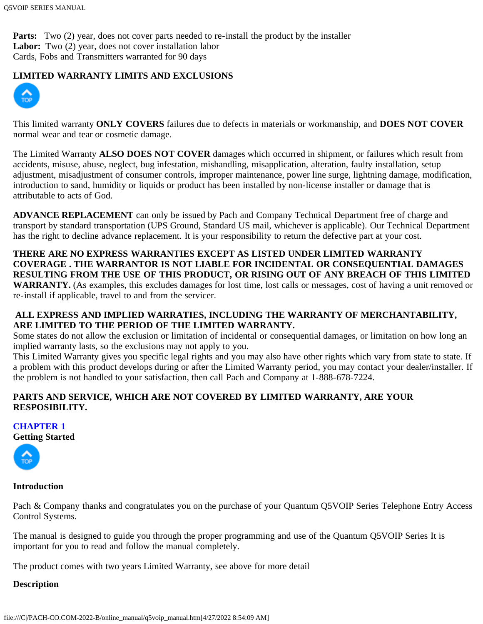Parts: Two (2) year, does not cover parts needed to re-install the product by the installer Labor: Two (2) year, does not cover installation labor Cards, Fobs and Transmitters warranted for 90 days

# <span id="page-2-0"></span>**LIMITED WARRANTY LIMITS AND EXCLUSIONS**



This limited warranty **ONLY COVERS** failures due to defects in materials or workmanship, and **DOES NOT COVER** normal wear and tear or cosmetic damage.

The Limited Warranty **ALSO DOES NOT COVER** damages which occurred in shipment, or failures which result from accidents, misuse, abuse, neglect, bug infestation, mishandling, misapplication, alteration, faulty installation, setup adjustment, misadjustment of consumer controls, improper maintenance, power line surge, lightning damage, modification, introduction to sand, humidity or liquids or product has been installed by non-license installer or damage that is attributable to acts of God.

**ADVANCE REPLACEMENT** can only be issued by Pach and Company Technical Department free of charge and transport by standard transportation (UPS Ground, Standard US mail, whichever is applicable). Our Technical Department has the right to decline advance replacement. It is your responsibility to return the defective part at your cost.

# **THERE ARE NO EXPRESS WARRANTIES EXCEPT AS LISTED UNDER LIMITED WARRANTY COVERAGE . THE WARRANTOR IS NOT LIABLE FOR INCIDENTAL OR CONSEQUENTIAL DAMAGES RESULTING FROM THE USE OF THIS PRODUCT, OR RISING OUT OF ANY BREACH OF THIS LIMITED**

**WARRANTY.** (As examples, this excludes damages for lost time, lost calls or messages, cost of having a unit removed or re-install if applicable, travel to and from the servicer.

# **ALL EXPRESS AND IMPLIED WARRATIES, INCLUDING THE WARRANTY OF MERCHANTABILITY, ARE LIMITED TO THE PERIOD OF THE LIMITED WARRANTY.**

Some states do not allow the exclusion or limitation of incidental or consequential damages, or limitation on how long an implied warranty lasts, so the exclusions may not apply to you.

This Limited Warranty gives you specific legal rights and you may also have other rights which vary from state to state. If a problem with this product develops during or after the Limited Warranty period, you may contact your dealer/installer. If the problem is not handled to your satisfaction, then call Pach and Company at 1-888-678-7224.

# **PARTS AND SERVICE, WHICH ARE NOT COVERED BY LIMITED WARRANTY, ARE YOUR RESPOSIBILITY.**

<span id="page-2-1"></span>**[CHAPTER 1](#page-0-0)**

**[Getting](#page-0-1) Started**



# **Introduction**

Pach & Company thanks and congratulates you on the purchase of your Quantum Q5VOIP Series Telephone Entry Access Control Systems.

The manual is designed to guide you through the proper programming and use of the Quantum Q5VOIP Series It is important for you to read and follow the manual completely.

The product comes with two years Limited Warranty, see above for more detail

# **Description**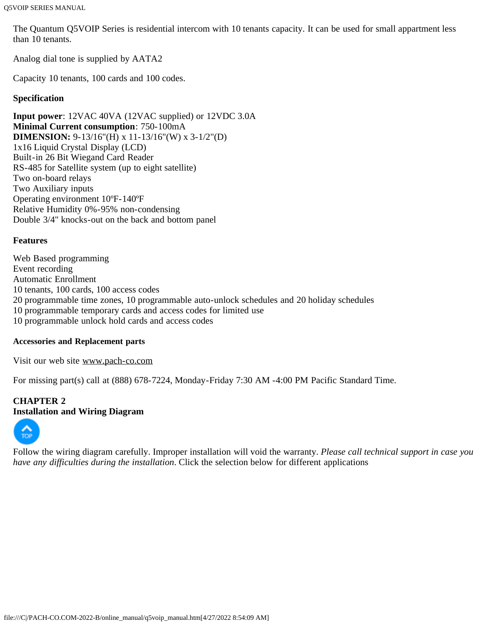The Quantum Q5VOIP Series is residential intercom with 10 tenants capacity. It can be used for small appartment less than 10 tenants.

Analog dial tone is supplied by AATA2

Capacity 10 tenants, 100 cards and 100 codes.

## **Specification**

**Input power**: 12VAC 40VA (12VAC supplied) or 12VDC 3.0A **Minimal Current consumption**: 750-100mA **DIMENSION:** 9-13/16"(H) x 11-13/16"(W) x 3-1/2"(D) 1x16 Liquid Crystal Display (LCD) Built-in 26 Bit Wiegand Card Reader RS-485 for Satellite system (up to eight satellite) Two on-board relays Two Auxiliary inputs Operating environment 10ºF-140ºF Relative Humidity 0%-95% non-condensing Double 3/4" knocks-out on the back and bottom panel

#### **Features**

Web Based programming Event recording Automatic Enrollment 10 tenants, 100 cards, 100 access codes 20 programmable time zones, 10 programmable auto-unlock schedules and 20 holiday schedules 10 programmable temporary cards and access codes for limited use 10 programmable unlock hold cards and access codes

#### **Accessories and Replacement parts**

Visit our web site [www.pach-co.com](http://www.pach-co.com/)

For missing part(s) call at (888) 678-7224, Monday-Friday 7:30 AM -4:00 PM Pacific Standard Time.

#### <span id="page-3-0"></span>**CHAPTER 2 Installation and Wiring Diagram**



Follow the wiring diagram carefully. Improper installation will void the warranty. *Please call technical support in case you have any difficulties during the installation*. Click the selection below for different applications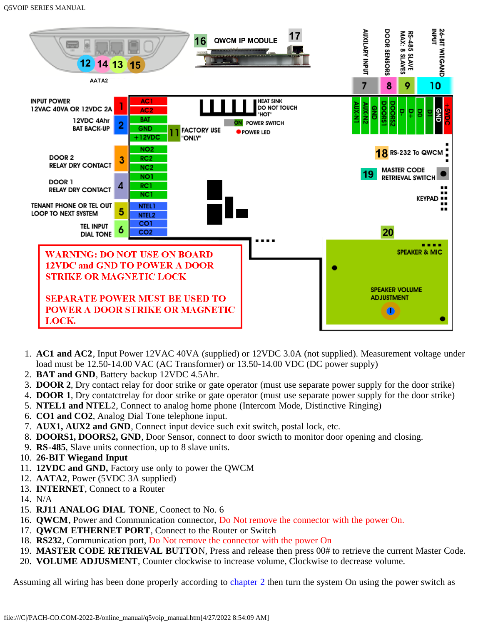

- 1. **AC1 and AC2**, Input Power 12VAC 40VA (supplied) or 12VDC 3.0A (not supplied). Measurement voltage under load must be 12.50-14.00 VAC (AC Transformer) or 13.50-14.00 VDC (DC power supply)
- 2. **BAT and GND**, Battery backup 12VDC 4.5Ahr.
- 3. **DOOR 2**, Dry contact relay for door strike or gate operator (must use separate power supply for the door strike)
- 4. **DOOR 1**, Dry contatctrelay for door strike or gate operator (must use separate power supply for the door strike)
- 5. **NTEL1 and NTEL**2, Connect to analog home phone (Intercom Mode, Distinctive Ringing)
- 6. **CO1 and CO2**, Analog Dial Tone telephone input.
- 7. **AUX1, AUX2 and GND**, Connect input device such exit switch, postal lock, etc.
- 8. **DOORS1, DOORS2, GND**, Door Sensor, connect to door swicth to monitor door opening and closing.
- 9. **RS-485**, Slave units connection, up to 8 slave units.
- 10. **26-BIT Wiegand Input**
- 11. **12VDC and GND,** Factory use only to power the QWCM
- 12. **AATA2**, Power (5VDC 3A supplied)
- 13. **INTERNET**, Connect to a Router
- 14. N/A
- 15. **RJ11 ANALOG DIAL TONE**, Coonect to No. 6
- 16. **QWCM**, Power and Communication connector, Do Not remove the connector with the power On.
- 17. **QWCM ETHERNET PORT**, Connect to the Router or Switch
- 18. **RS232**, Communication port, Do Not remove the connector with the power On
- 19. **MASTER CODE RETRIEVAL BUTTO**N, Press and release then press 00# to retrieve the current Master Code.
- 20. **VOLUME ADJUSMENT**, Counter clockwise to increase volume, Clockwise to decrease volume.

Assuming all wiring has been done properly according to [chapter 2](#page-3-0) then turn the system On using the power switch as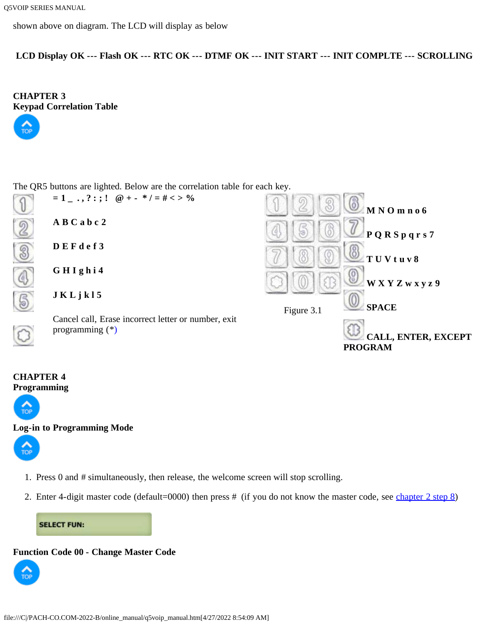shown above on diagram. The LCD will display as below

**LCD Display OK --- Flash OK --- RTC OK --- DTMF OK --- INIT START --- INIT COMPLTE --- SCROLLING**

<span id="page-5-0"></span>**CHAPTER 3 [Keypad](#page-0-1) Correlation Table**



The QR5 buttons are lighted. Below are the correlation table for each key.



# <span id="page-5-1"></span>**CHAPTER 4 [Program](#page-0-1)ming**



# <span id="page-5-2"></span>**[Log-in](#page-0-1) to Programming Mode**



- 1. Press 0 and # simultaneously, then release, the welcome screen will stop scrolling.
- 2. Enter 4-digit master code (default=0000) then press # (if you do not know the master code, see [chapter 2 step 8\)](#page-3-0)

**SELECT FUN:** 

# <span id="page-5-3"></span>**Function Code 00 - Change Master Code**

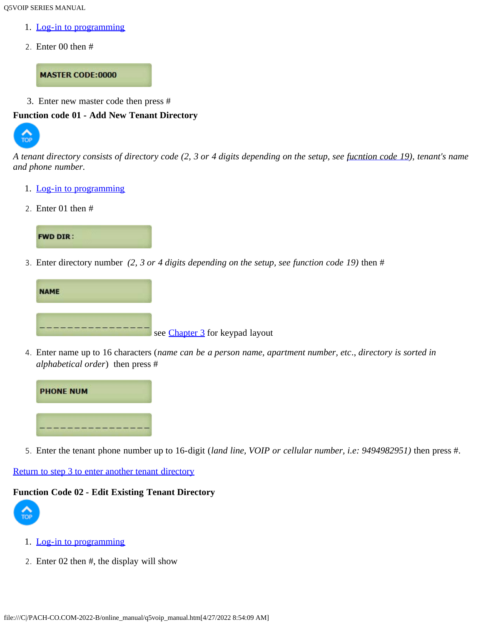Q5VOIP SERIES MANUAL

- 1. [Log-in to programming](#page-5-2)
- 2. Enter 00 then #

**MASTER CODE:0000** 

3. Enter new master code then press #

#### <span id="page-6-0"></span>**[Functio](#page-0-1)n code 01 - Add New Tenant Directory**



*A tenant directory consists of directory code (2, 3 or 4 digits depending on the setup, see [fucntion code 19\)](#page-16-0), tenant's name and phone number.*

- 1. [Log-in to programming](#page-5-2)
- 2. Enter 01 then #



<span id="page-6-2"></span>3. Enter directory number *(2, 3 or 4 digits depending on the setup, see function code 19)* then #



4. Enter name up to 16 characters (*name can be a person name, apartment number, etc*., *directory is sorted in alphabetical order*) then press #



5. Enter the tenant phone number up to 16-digit (*land line, VOIP or cellular number, i.e: 9494982951)* then press #.

# [Return to step 3 to enter another tenant directory](#page-6-2)

#### <span id="page-6-1"></span>**[Functio](#page-0-1)n Code 02 - Edit Existing Tenant Directory**



- 1. [Log-in to programming](#page-5-2)
- 2. Enter 02 then #, the display will show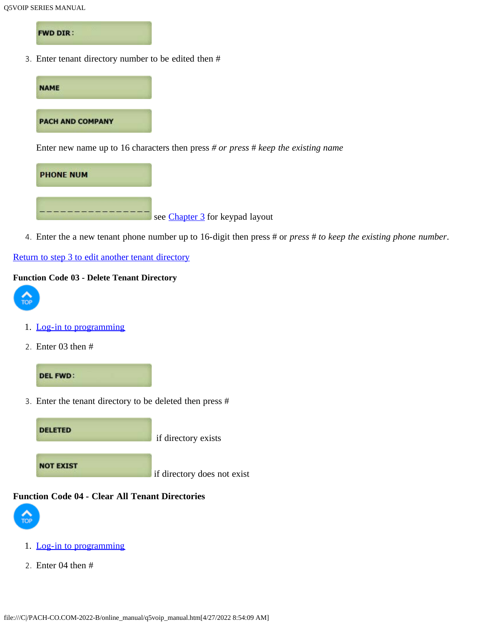**FWD DIR:** 

3. Enter tenant directory number to be edited then #



see [Chapter 3](#page-5-0) for keypad layout

4. Enter the a new tenant phone number up to 16-digit then press # or *press* # *to keep the existing phone number*.

# [Return to step 3 to edit another tenant directory](#page-0-0)

# <span id="page-7-0"></span>**Function Code 03 - Delete Tenant Directory**



- 1. [Log-in to programming](#page-5-2)
- 2. Enter 03 then #



3. Enter the tenant directory to be deleted then press #

**DELETED** if directory exists **NOT EXIST** if directory does not exist

## <span id="page-7-1"></span>**Function Code 04 - Clear All Tenant Directories**



- 1. [Log-in to programming](#page-5-2)
- 2. Enter 04 then #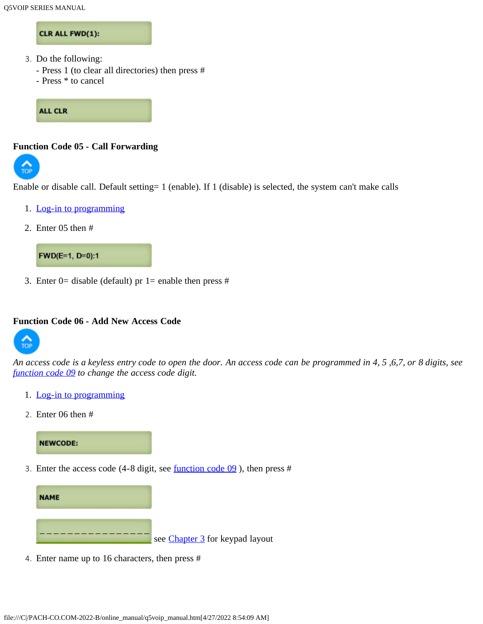#### CLR ALL FWD(1):

- 3. Do the following:
	- Press 1 (to clear all directories) then press #
	- Press \* to cancel

**ALL CLR** 

#### <span id="page-8-0"></span>**Function Code 05 - Call Forwarding**



Enable or disable call. Default setting= 1 (enable). If 1 (disable) is selected, the system can't make calls

- 1. [Log-in to programming](#page-5-2)
- 2. Enter 05 then #



3. Enter 0= disable (default) pr 1= enable then press  $#$ 

#### <span id="page-8-1"></span>**Function Code 06 - Add New Access Code**



*An access code is a keyless entry code to open the door. An access code can be programmed in 4, 5 ,6,7, or 8 digits, see [function code 09](#page-10-0) to change the access code digit.*

- 1. [Log-in to programming](#page-5-2)
- 2. Enter 06 then #

# **NEWCODE:**

<span id="page-8-2"></span>3. Enter the access code (4-8 digit, see [function code 09](#page-10-0) ), then press #



4. Enter name up to 16 characters, then press #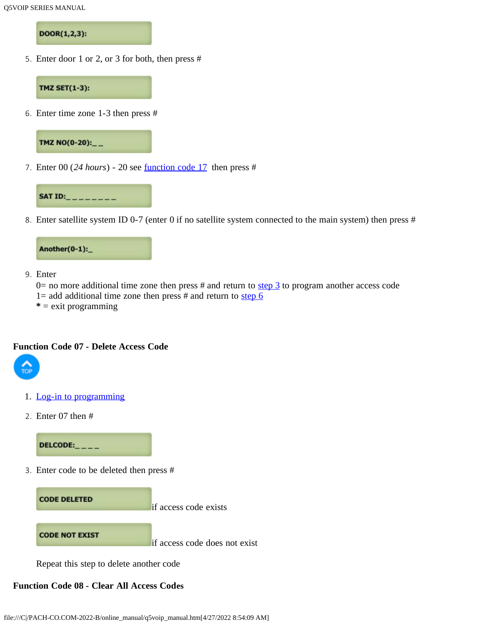DOOR(1,2,3):

5. Enter door 1 or 2, or 3 for both, then press #



<span id="page-9-2"></span>6. Enter time zone 1-3 then press #



7. Enter 00 (*24 hours*) - 20 see [function code 17](#page-14-0) then press #



8. Enter satellite system ID 0-7 (enter 0 if no satellite system connected to the main system) then press #



9. Enter

 $0=$  no more additional time zone then press # and return to [step 3](#page-8-2) to program another access code 1= add additional time zone then press  $#$  and return to [step 6](#page-9-2)

**\*** = exit programming

### <span id="page-9-0"></span>**Function Code 07 - Delete Access Code**



- 1. [Log-in to programming](#page-5-2)
- 2. Enter 07 then #

 $DELCODE:_{---}$ 

3. Enter code to be deleted then press #



Repeat this step to delete another code

# <span id="page-9-1"></span>**Function Code 08 - Clear All Access Codes**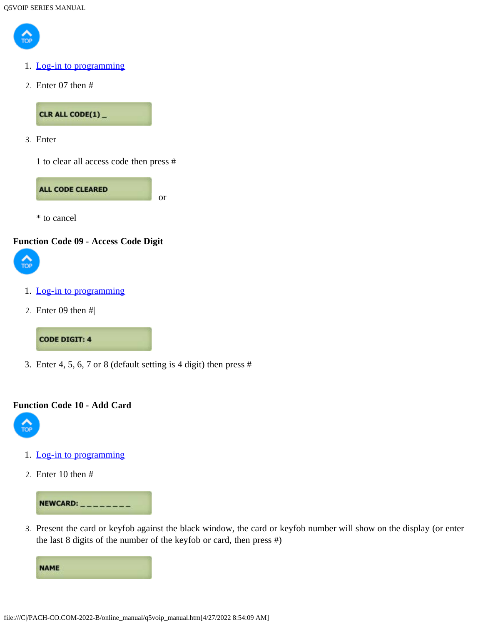

- 1. [Log-in to programming](#page-5-2)
- 2. Enter 07 then #

CLR ALL CODE(1)\_

3. Enter

1 to clear all access code then press #



\* to cancel

#### <span id="page-10-0"></span>**Function Code 09 - Access Code Digit**



- 1. [Log-in to programming](#page-5-2)
- 2. Enter 09 then #|

#### **CODE DIGIT: 4**

3. Enter 4, 5, 6, 7 or 8 (default setting is 4 digit) then press #

### **Function Code 10 - Add Card**



- 1. [Log-in to programming](#page-5-2)
- 2. Enter 10 then #



3. Present the card or keyfob against the black window, the card or keyfob number will show on the display (or enter the last 8 digits of the number of the keyfob or card, then press #)

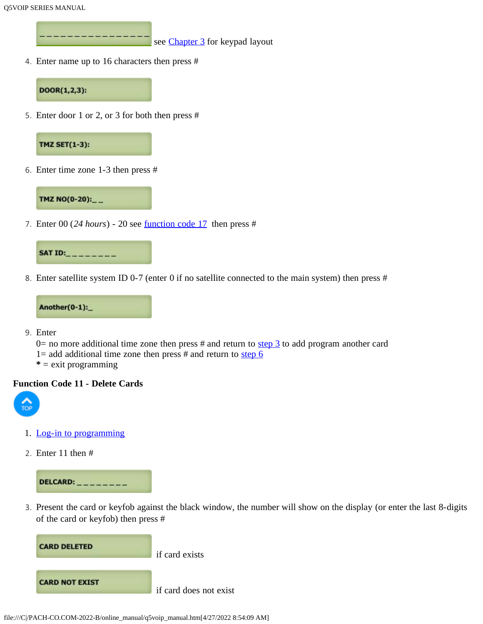see [Chapter 3](#page-5-0) for keypad layout

4. Enter name up to 16 characters then press #



5. Enter door 1 or 2, or 3 for both then press #



6. Enter time zone 1-3 then press #



7. Enter 00 (*24 hours*) - 20 see [function code 17](#page-14-0) then press #



8. Enter satellite system ID 0-7 (enter 0 if no satellite connected to the main system) then press #



- 9. Enter
	- 0= no more additional time zone then press # and return to  $\frac{\text{step 3}}{\text{step 3}}$  to add program another card
	- 1= add additional time zone then press  $#$  and return to [step 6](#page-9-2)
	- **\*** = exit programming

#### <span id="page-11-0"></span>**Function Code 11 - Delete Cards**



- 1. [Log-in to programming](#page-5-2)
- 2. Enter 11 then #



3. Present the card or keyfob against the black window, the number will show on the display (or enter the last 8-digits of the card or keyfob) then press #

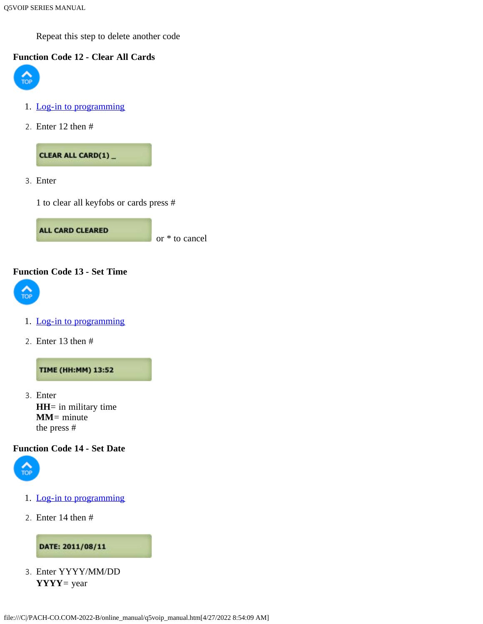Repeat this step to delete another code

# <span id="page-12-0"></span>**[Functio](#page-0-1)n Code 12 - Clear All Cards**



- 1. [Log-in to programming](#page-5-2)
- 2. Enter 12 then #

CLEAR ALL CARD(1)\_

3. Enter

1 to clear all keyfobs or cards press #

**ALL CARD CLEARED** or \* to cancel

#### <span id="page-12-1"></span>**Function Code 13 - Set Time**



- 1. [Log-in to programming](#page-5-2)
- 2. Enter 13 then #

**TIME (HH:MM) 13:52** 

3. Enter **HH**= in military time **MM**= minute the press #

#### <span id="page-12-2"></span>**Function Code 14 - Set Date**



- 1. [Log-in to programming](#page-5-2)
- 2. Enter 14 then #

#### DATE: 2011/08/11

3. Enter YYYY/MM/DD **YYYY**= year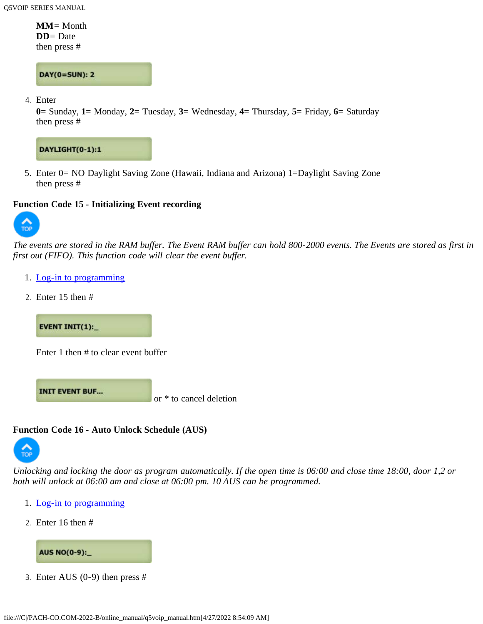**MM**= Month **DD**= Date then press #

**DAY(0=SUN): 2** 

4. Enter

**0**= Sunday, **1**= Monday, **2**= Tuesday, **3**= Wednesday, **4**= Thursday, **5**= Friday, **6**= Saturday then press #



5. Enter 0= NO Daylight Saving Zone (Hawaii, Indiana and Arizona) 1=Daylight Saving Zone then press #

# <span id="page-13-0"></span>**Function Code 15 - Initializing Event recording**



*The events are stored in the RAM buffer. The Event RAM buffer can hold 800-2000 events. The Events are stored as first in first out (FIFO). This function code will clear the event buffer.*

- 1. [Log-in to programming](#page-5-2)
- 2. Enter 15 then #

**EVENT INIT(1):** 

Enter 1 then # to clear event buffer

**INIT EVENT BUF...** 

or \* to cancel deletion

# <span id="page-13-1"></span>**[Functio](#page-0-1)n Code 16 - Auto Unlock Schedule (AUS)**



*Unlocking and locking the door as program automatically. If the open time is 06:00 and close time 18:00, door 1,2 or both will unlock at 06:00 am and close at 06:00 pm. 10 AUS can be programmed.*

- 1. [Log-in to programming](#page-5-2)
- 2. Enter 16 then #



3. Enter AUS (0-9) then press #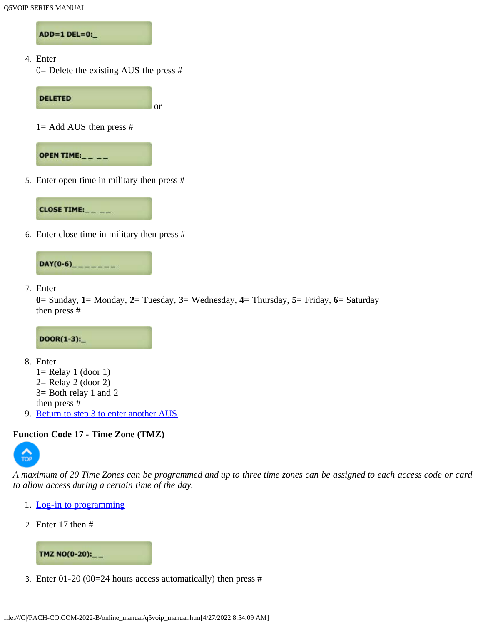ADD=1 DEL=0:

4. Enter

0= Delete the existing AUS the press #



5. Enter open time in military then press #



6. Enter close time in military then press #



7. Enter

```
0= Sunday, 1= Monday, 2= Tuesday, 3= Wednesday, 4= Thursday, 5= Friday, 6= Saturday
then press #
```
 $DOOR(1-3):$ 

- 8. Enter
	- $1=$  Relay 1 (door 1)  $2=$  Relay 2 (door 2) 3= Both relay 1 and 2
	- then press #
- 9. [Return to step 3 to enter another AUS](#page-0-0)

# <span id="page-14-0"></span>**[Functio](#page-0-1)n Code 17 - Time Zone (TMZ)**



*A maximum of 20 Time Zones can be programmed and up to three time zones can be assigned to each access code or card to allow access during a certain time of the day.*

- 1. [Log-in to programming](#page-5-2)
- 2. Enter 17 then #



3. Enter 01-20 (00=24 hours access automatically) then press #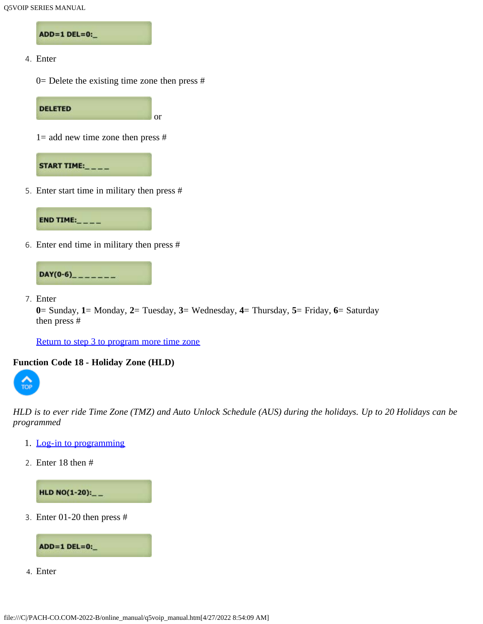ADD=1 DEL=0:\_

4. Enter

 $0=$  Delete the existing time zone then press #

**DELETED** or

 $1=$  add new time zone then press #



5. Enter start time in military then press #



6. Enter end time in military then press #



7. Enter

**0**= Sunday, **1**= Monday, **2**= Tuesday, **3**= Wednesday, **4**= Thursday, **5**= Friday, **6**= Saturday then press #

[Return to step 3 to program more time zone](#page-0-0)

#### <span id="page-15-0"></span>**Function Code 18 - Holiday Zone (HLD)**



*HLD is to ever ride Time Zone (TMZ) and Auto Unlock Schedule (AUS) during the holidays. Up to 20 Holidays can be programmed*

- 1. [Log-in to programming](#page-5-2)
- 2. Enter 18 then #

HLD NO(1-20):\_\_

<span id="page-15-1"></span>3. Enter 01-20 then press #



4. Enter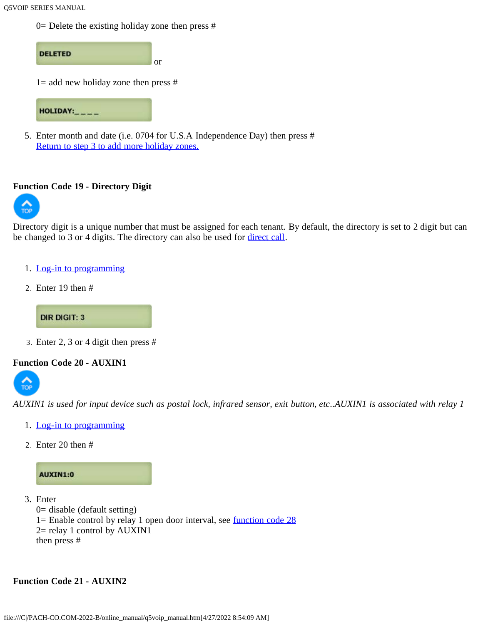$0=$  Delete the existing holiday zone then press #



5. Enter month and date (i.e. 0704 for U.S.A Independence Day) then press # [Return to step 3 to add more holiday zones.](#page-15-1)

#### <span id="page-16-0"></span>**[Functio](#page-0-1)n Code 19 - Directory Digit**



Directory digit is a unique number that must be assigned for each tenant. By default, the directory is set to 2 digit but can be changed to 3 or 4 digits. The directory can also be used for [direct call.](#page-31-2)

- 1. [Log-in to programming](#page-5-2)
- 2. Enter 19 then #

**DIR DIGIT: 3** 

3. Enter 2, 3 or 4 digit then press #

#### <span id="page-16-1"></span>**[Functio](#page-0-1)n Code 20 - AUXIN1**



*AUXIN1 is used for input device such as postal lock, infrared sensor, exit button, etc..AUXIN1 is associated with relay 1*

- 1. [Log-in to programming](#page-5-2)
- 2. Enter 20 then #



- 3. Enter
	- 0= disable (default setting)
	- 1= Enable control by relay 1 open door interval, see [function code 28](#page-19-0)
	- 2= relay 1 control by AUXIN1
	- then press #

# <span id="page-16-2"></span>**Function Code 21 - AUXIN2**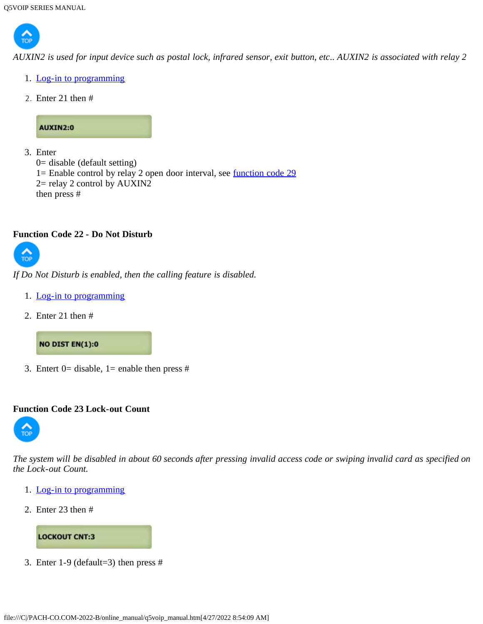

*AUXIN2 is used for input device such as postal lock, infrared sensor, exit button, etc.. AUXIN2 is associated with relay 2*

- 1. [Log-in to programming](#page-5-2)
- 2. Enter 21 then #

# AUXIN2:0

```
3. Enter
  0= disable (default setting)
  1= Enable control by relay 2 open door interval, see function code 29
  2= relay 2 control by AUXIN2
  then press #
```
# <span id="page-17-1"></span>**Function Code 22 - Do Not Disturb**



*If Do Not Disturb is enabled, then the calling feature is disabled.*

- 1. [Log-in to programming](#page-5-2)
- 2. Enter 21 then #

**NO DIST EN(1):0** 

3. Entert  $0=$  disable,  $1=$  enable then press #

#### <span id="page-17-0"></span>**Function Code 23 Lock-out Count**



*The system will be disabled in about 60 seconds after pressing invalid access code or swiping invalid card as specified on the Lock-out Count.*

- 1. [Log-in to programming](#page-5-2)
- 2. Enter 23 then #



3. Enter 1-9 (default=3) then press #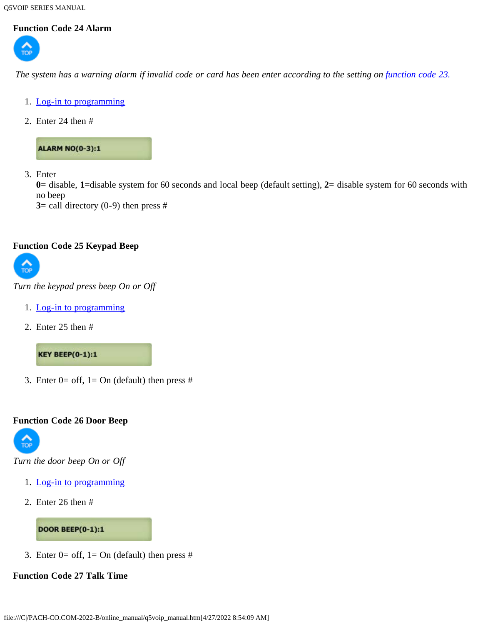Q5VOIP SERIES MANUAL

# <span id="page-18-0"></span>**Function Code 24 Alarm**



*The system has a warning alarm if invalid code or card has been enter according to the setting on <i>[function code 23.](#page-17-0)* 

- 1. [Log-in to programming](#page-5-2)
- 2. Enter 24 then #

**ALARM NO(0-3):1** 

3. Enter

**0**= disable, **1**=disable system for 60 seconds and local beep (default setting), **2**= disable system for 60 seconds with no beep

**3**= call directory  $(0-9)$  then press #

#### <span id="page-18-1"></span>**Function Code 25 Keypad Beep**



*Turn the keypad press beep On or Off*

- 1. [Log-in to programming](#page-5-2)
- 2. Enter 25 then #

**KEY BEEP(0-1):1** 

3. Enter  $0=$  off,  $1=$  On (default) then press #

#### <span id="page-18-2"></span>**Function Code 26 Door Beep**



*Turn the door beep On or Off*

- 1. [Log-in to programming](#page-5-2)
- 2. Enter 26 then #

**DOOR BEEP(0-1):1** 

3. Enter  $0=$  off,  $1=$  On (default) then press #

# <span id="page-18-3"></span>**Function Code 27 Talk Time**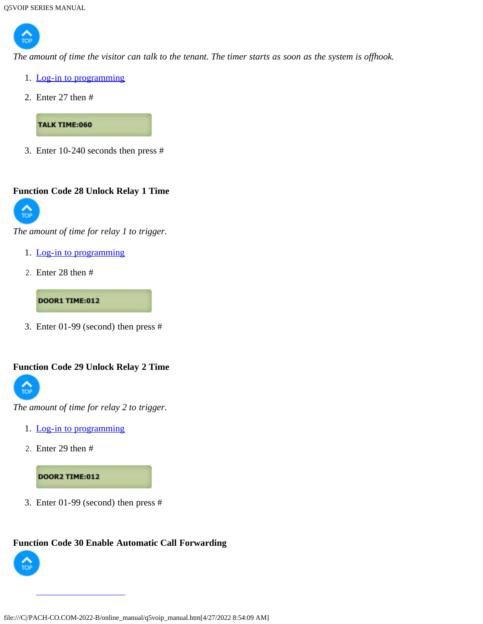

*The amount of time the visitor can talk to the tenant. The timer starts as soon as the system is offhook.*

- 1. [Log-in to programming](#page-5-2)
- 2. Enter 27 then #

**TALK TIME:060** 

3. Enter 10-240 seconds then press #

# <span id="page-19-0"></span>**[Functio](#page-0-1)n Code 28 Unlock Relay 1 Time**



*The amount of time for relay 1 to trigger.*

- 1. [Log-in to programming](#page-5-2)
- 2. Enter 28 then #

**DOOR1 TIME:012** 

3. Enter 01-99 (second) then press #

# <span id="page-19-1"></span>**Function Code 29 Unlock Relay 2 Time**



*The amount of time for relay 2 to trigger.*

- 1. [Log-in to programming](#page-5-2)
- 2. Enter 29 then #

# **DOOR2 TIME:012**

3. Enter 01-99 (second) then press #

# <span id="page-19-2"></span>**Function Code 30 Enable Automatic Call Forwarding**

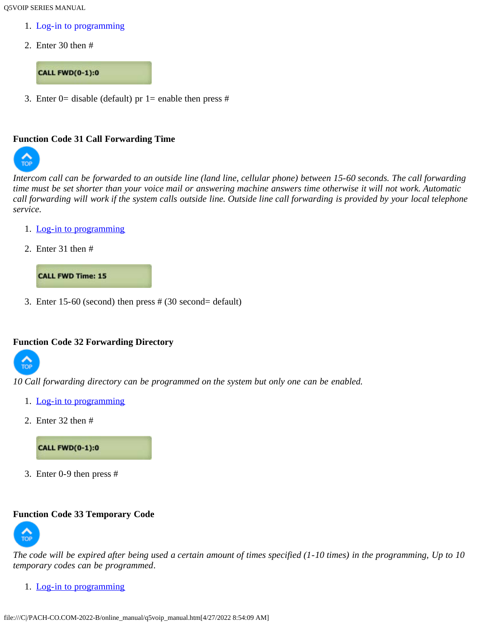Q5VOIP SERIES MANUAL

- 1. [Log-in to programming](#page-5-2)
- 2. Enter 30 then #

# **CALL FWD(0-1):0**

3. Enter 0= disable (default) pr 1= enable then press #

#### <span id="page-20-0"></span>**[Functio](#page-0-1)n Code 31 Call Forwarding Time**



*Intercom call can be forwarded to an outside line (land line, cellular phone) between 15-60 seconds. The call forwarding time must be set shorter than your voice mail or answering machine answers time otherwise it will not work. Automatic call forwarding will work if the system calls outside line. Outside line call forwarding is provided by your local telephone service.*

- 1. [Log-in to programming](#page-5-2)
- 2. Enter 31 then #



3. Enter 15-60 (second) then press # (30 second= default)

#### <span id="page-20-1"></span>**Function Code 32 Forwarding Directory**



*10 Call forwarding directory can be programmed on the system but only one can be enabled.*

- 1. [Log-in to programming](#page-5-2)
- 2. Enter 32 then #

**CALL FWD(0-1):0** 

3. Enter 0-9 then press #

# <span id="page-20-2"></span>**[Functio](#page-0-1)n Code 33 Temporary Code**



*The code will be expired after being used a certain amount of times specified (1-10 times) in the programming, Up to 10 temporary codes can be programmed*.

1. [Log-in to programming](#page-5-2)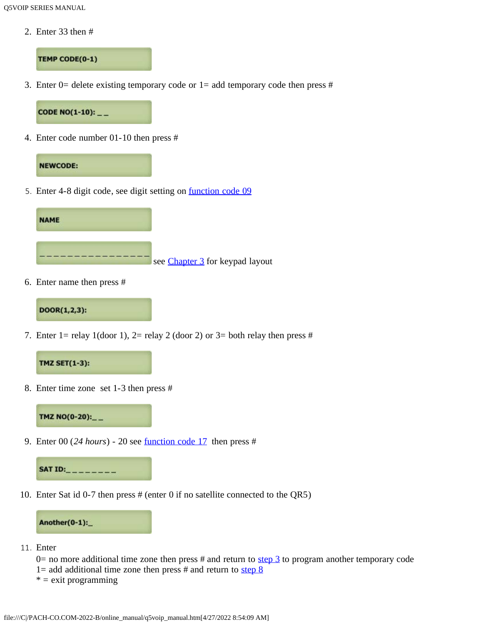2. Enter 33 then #

TEMP CODE(0-1)

<span id="page-21-0"></span>3. Enter 0= delete existing temporary code or  $1=$  add temporary code then press #

CODE NO(1-10):  $_{--}$ 

4. Enter code number 01-10 then press #



<span id="page-21-2"></span>5. Enter 4-8 digit code, see digit setting on [function code 09](#page-10-0)



6. Enter name then press #

DOOR(1,2,3):

7. Enter 1= relay 1(door 1), 2= relay 2 (door 2) or 3= both relay then press #



<span id="page-21-1"></span>8. Enter time zone set 1-3 then press #

TMZ NO(0-20):\_\_

9. Enter 00 (*24 hours*) - 20 see [function code 17](#page-14-0) then press #



10. Enter Sat id 0-7 then press # (enter 0 if no satellite connected to the QR5)



- 11. Enter
	- $0=$  no more additional time zone then press # and return to [step 3](#page-21-0) to program another temporary code
	- 1= add additional time zone then press  $#$  and return to [step 8](#page-21-1)
	- $* =$  exit programming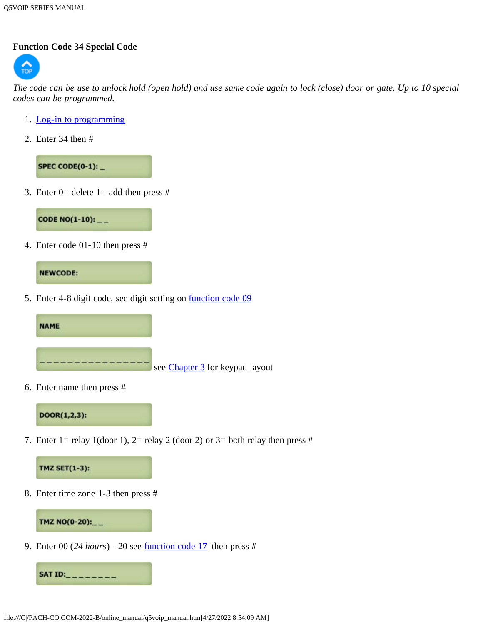# <span id="page-22-0"></span>**Function Code 34 Special Code**



*The code can be use to unlock hold (open hold) and use same code again to lock (close) door or gate. Up to 10 special codes can be programmed.*

- 1. [Log-in to programming](#page-5-2)
- 2. Enter 34 then #

SPEC CODE(0-1):  $-$ 

<span id="page-22-1"></span>3. Enter  $0=$  delete  $1=$  add then press #



4. Enter code 01-10 then press #



<span id="page-22-3"></span>5. Enter 4-8 digit code, see digit setting on **function code 09** 



6. Enter name then press #



7. Enter 1= relay 1(door 1), 2= relay 2 (door 2) or 3= both relay then press #



<span id="page-22-2"></span>8. Enter time zone 1-3 then press #



9. Enter 00 (*24 hours*) - 20 see [function code 17](#page-14-0) then press #

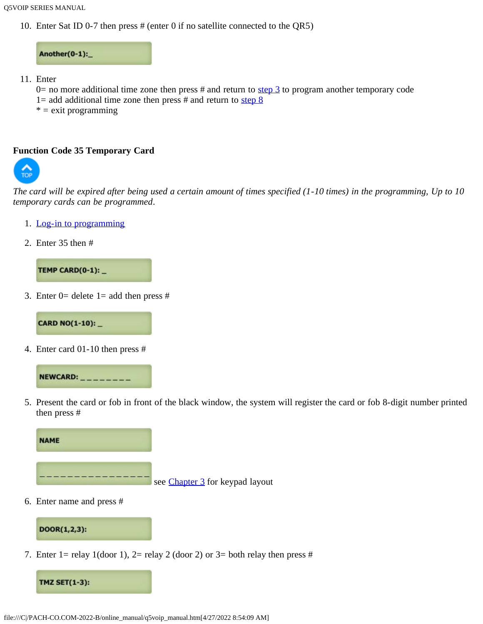10. Enter Sat ID 0-7 then press # (enter 0 if no satellite connected to the QR5)

Another(0-1):

- 11. Enter
	- $0=$  no more additional time zone then press # and return to [step 3](#page-22-1) to program another temporary code
	- 1= add additional time zone then press  $#$  and return to step  $8$
	- $* =$  exit programming

#### <span id="page-23-0"></span>**Function Code 35 Temporary Card**



*The card will be expired after being used a certain amount of times specified (1-10 times) in the programming, Up to 10 temporary cards can be programmed*.

- 1. [Log-in to programming](#page-5-2)
- 2. Enter 35 then #

TEMP CARD(0-1):

3. Enter  $0=$  delete  $1=$  add then press #

**CARD NO(1-10): \_** 

4. Enter card 01-10 then press #



5. Present the card or fob in front of the black window, the system will register the card or fob 8-digit number printed then press #



6. Enter name and press #

# DOOR(1,2,3):

7. Enter 1= relay 1(door 1), 2= relay 2 (door 2) or 3= both relay then press #

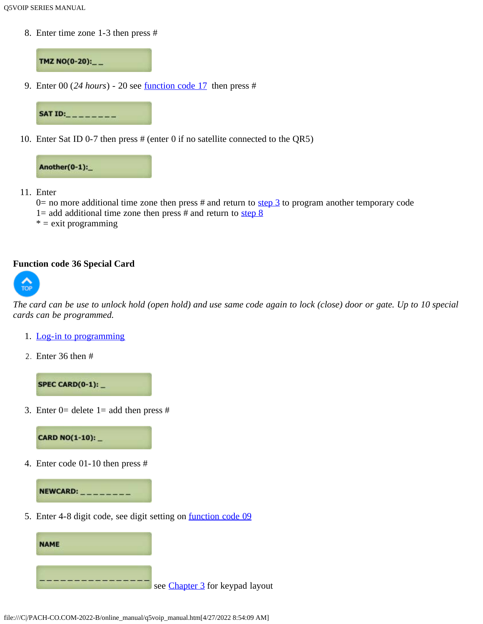8. Enter time zone 1-3 then press #

TMZ NO(0-20):\_\_

9. Enter 00 (*24 hours*) - 20 see [function code 17](#page-14-0) then press #



10. Enter Sat ID 0-7 then press # (enter 0 if no satellite connected to the QR5)



- 11. Enter
	- $0=$  no more additional time zone then press # and return to [step 3](#page-22-2) to program another temporary code
	- 1= add additional time zone then press # and return to step  $\frac{8}{3}$
	- $* =$  exit programming

#### <span id="page-24-0"></span>**[Functio](#page-0-1)n code 36 Special Card**



*The card can be use to unlock hold (open hold) and use same code again to lock (close) door or gate. Up to 10 special cards can be programmed.*

- 1. [Log-in to programming](#page-5-2)
- 2. Enter 36 then #

SPEC CARD(0-1):  $-$ 

<span id="page-24-1"></span>3. Enter  $0=$  delete  $1=$  add then press #



4. Enter code 01-10 then press #



5. Enter 4-8 digit code, see digit setting on **function code 09** 

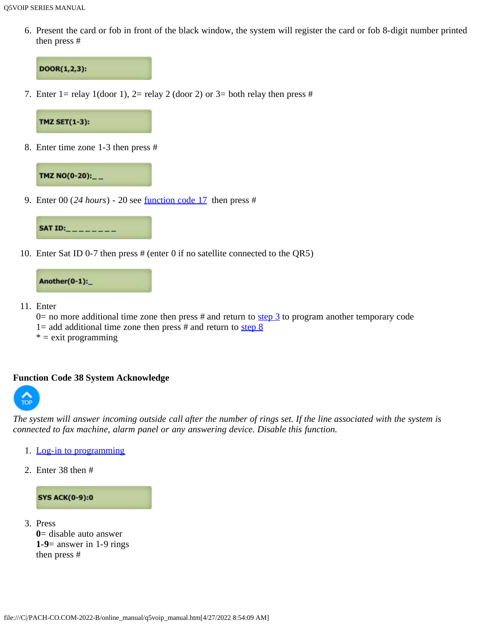6. Present the card or fob in front of the black window, the system will register the card or fob 8-digit number printed then press #

# DOOR(1,2,3):

7. Enter 1= relay 1(door 1), 2= relay 2 (door 2) or 3= both relay then press #

# **TMZ SET(1-3):**

<span id="page-25-1"></span>8. Enter time zone 1-3 then press #

# TMZ NO(0-20):\_\_

9. Enter 00 (*24 hours*) - 20 see [function code 17](#page-14-0) then press #



10. Enter Sat ID 0-7 then press # (enter 0 if no satellite connected to the QR5)



- 11. Enter
	- $0=$  no more additional time zone then press # and return to [step 3](#page-24-1) to program another temporary code
	- 1= add additional time zone then press # and return to step  $\frac{8}{3}$
	- $* =$  exit programming

#### <span id="page-25-0"></span>**[Functio](#page-0-1)n Code 38 System Acknowledge**



*The system will answer incoming outside call after the number of rings set. If the line associated with the system is connected to fax machine, alarm panel or any answering device. Disable this function.*

- 1. [Log-in to programming](#page-5-2)
- 2. Enter 38 then #

#### **SYS ACK(0-9):0**

3. Press **0**= disable auto answer **1-9**= answer in 1-9 rings then press #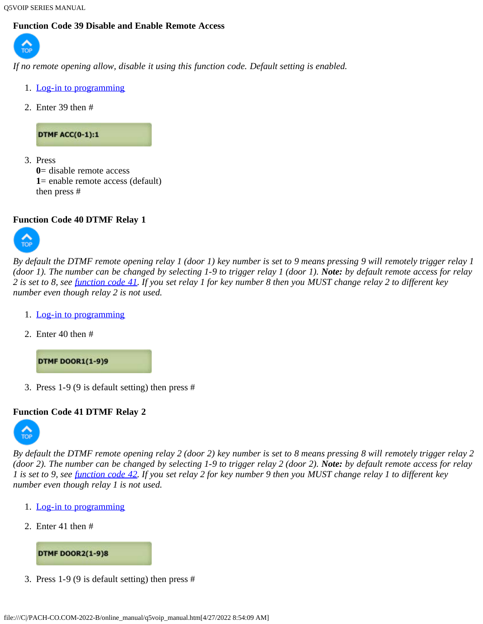Q5VOIP SERIES MANUAL

# <span id="page-26-0"></span>**Function Code 39 Disable and Enable Remote Access**



*If no remote opening allow, disable it using this function code. Default setting is enabled.*

- 1. [Log-in to programming](#page-5-2)
- 2. Enter 39 then #

# **DTMF ACC(0-1):1**

3. Press **0**= disable remote access **1**= enable remote access (default) then press #

# <span id="page-26-1"></span>**Function Code 40 DTMF Relay 1**



*By default the DTMF remote opening relay 1 (door 1) key number is set to 9 means pressing 9 will remotely trigger relay 1 (door 1). The number can be changed by selecting 1-9 to trigger relay 1 (door 1). Note: by default remote access for relay 2 is set to 8, see [function code 41](#page-26-2). If you set relay 1 for key number 8 then you MUST change relay 2 to different key number even though relay 2 is not used.*

- 1. [Log-in to programming](#page-5-2)
- 2. Enter 40 then #

**DTMF DOOR1(1-9)9** 

3. Press 1-9 (9 is default setting) then press #

# <span id="page-26-2"></span>**Function Code 41 DTMF Relay 2**



*By default the DTMF remote opening relay 2 (door 2) key number is set to 8 means pressing 8 will remotely trigger relay 2 (door 2). The number can be changed by selecting 1-9 to trigger relay 2 (door 2). Note: by default remote access for relay 1 is set to 9, see [function code 42](#page-27-0). If you set relay 2 for key number 9 then you MUST change relay 1 to different key number even though relay 1 is not used.*

- 1. [Log-in to programming](#page-5-2)
- 2. Enter 41 then #



3. Press 1-9 (9 is default setting) then press #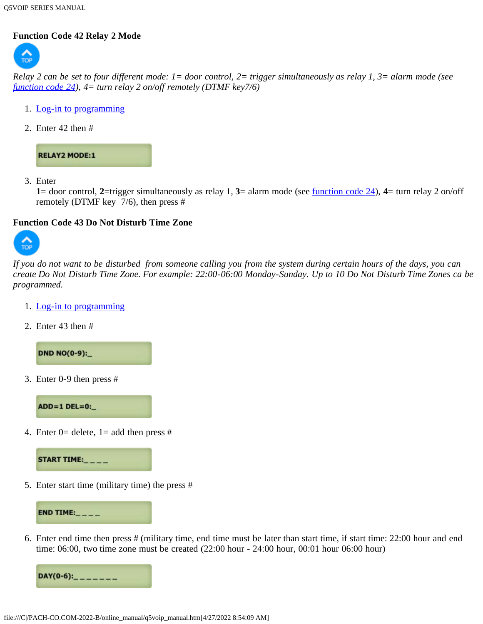# <span id="page-27-0"></span>**[Functio](#page-0-1)n Code 42 Relay 2 Mode**



*Relay 2 can be set to four different mode: 1= door control, 2= trigger simultaneously as relay 1, 3= alarm mode (see [function code 24\)](#page-18-0), 4= turn relay 2 on/off remotely (DTMF key7/6)*

- 1. [Log-in to programming](#page-5-2)
- 2. Enter 42 then #



3. Enter

**1**= door control, **2**=trigger simultaneously as relay 1, **3**= alarm mode (see [function code 24\)](#page-18-0), **4**= turn relay 2 on/off remotely (DTMF key 7/6), then press #

# <span id="page-27-1"></span>**[Functio](#page-0-1)n Code 43 Do Not Disturb Time Zone**



*If you do not want to be disturbed from someone calling you from the system during certain hours of the days, you can create Do Not Disturb Time Zone. For example: 22:00-06:00 Monday-Sunday. Up to 10 Do Not Disturb Time Zones ca be programmed.*

- 1. [Log-in to programming](#page-5-2)
- 2. Enter 43 then #

**DND NO(0-9):\_** 

<span id="page-27-2"></span>3. Enter 0-9 then press #



4. Enter 0= delete, 1= add then press #



5. Enter start time (military time) the press #



6. Enter end time then press # (military time, end time must be later than start time, if start time: 22:00 hour and end time: 06:00, two time zone must be created (22:00 hour - 24:00 hour, 00:01 hour 06:00 hour)

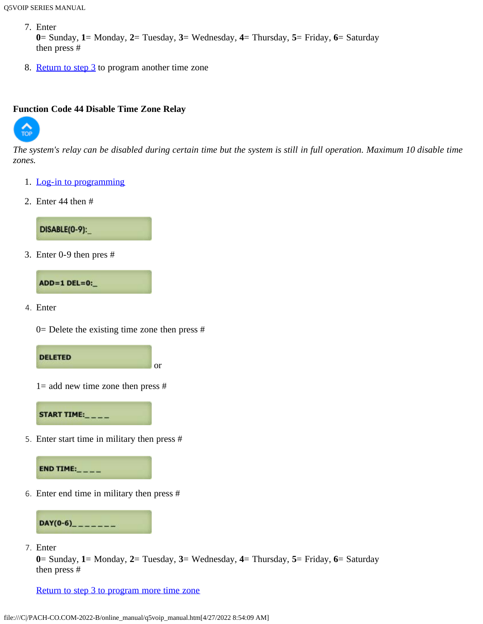7. Enter

```
0= Sunday, 1= Monday, 2= Tuesday, 3= Wednesday, 4= Thursday, 5= Friday, 6= Saturday
then press #
```
8. [Return to step 3](#page-27-2) to program another time zone

## <span id="page-28-0"></span>**[Functio](#page-0-1)n Code 44 Disable Time Zone Relay**



*The system's relay can be disabled during certain time but the system is still in full operation. Maximum 10 disable time zones.*

- 1. [Log-in to programming](#page-5-2)
- 2. Enter 44 then #



<span id="page-28-1"></span>3. Enter 0-9 then pres #



4. Enter



or



 $1=$  add new time zone then press  $#$ 

START TIME:

5. Enter start time in military then press #



6. Enter end time in military then press #



7. Enter

**0**= Sunday, **1**= Monday, **2**= Tuesday, **3**= Wednesday, **4**= Thursday, **5**= Friday, **6**= Saturday then press #

[Return to step 3 to program more time zone](#page-28-1)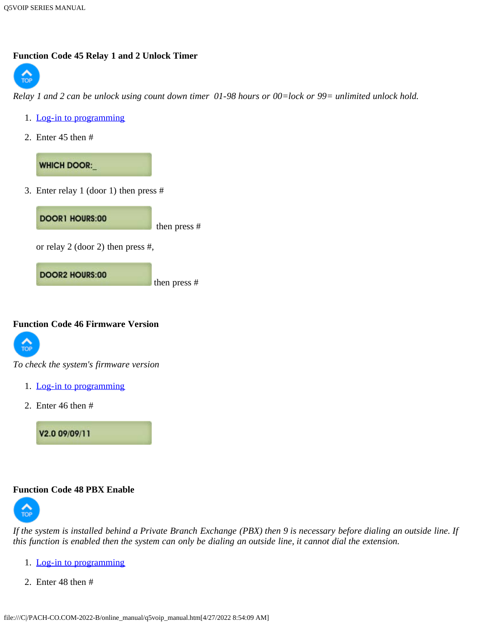# <span id="page-29-0"></span>**Function Code 45 Relay 1 and 2 Unlock Timer**



*Relay 1 and 2 can be unlock using count down timer 01-98 hours or 00=lock or 99= unlimited unlock hold.*

- 1. [Log-in to programming](#page-5-2)
- 2. Enter 45 then #

**WHICH DOOR:** 

3. Enter relay 1 (door 1) then press #



# <span id="page-29-1"></span>**[Functio](#page-0-1)n Code 46 Firmware Version**



*To check the system's firmware version*

- 1. [Log-in to programming](#page-5-2)
- 2. Enter 46 then #

V2.0 09/09/11

# <span id="page-29-2"></span>**Function Code 48 PBX Enable**



*If the system is installed behind a Private Branch Exchange (PBX) then 9 is necessary before dialing an outside line. If this function is enabled then the system can only be dialing an outside line, it cannot dial the extension.*

- 1. [Log-in to programming](#page-5-2)
- 2. Enter 48 then #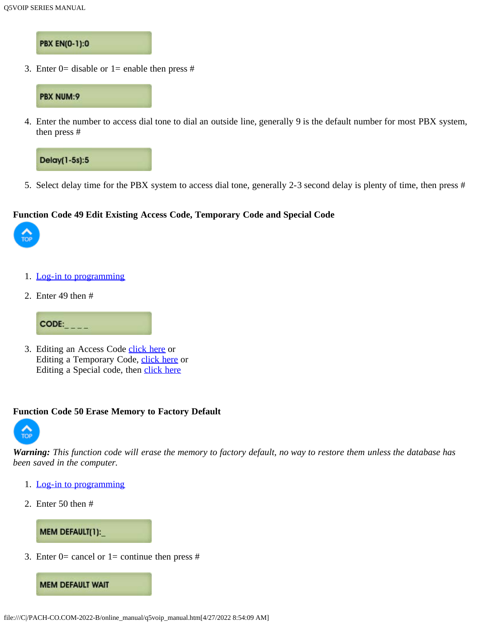# **PBX EN(0-1):0**

3. Enter 0= disable or 1= enable then press #



4. Enter the number to access dial tone to dial an outside line, generally 9 is the default number for most PBX system, then press #



5. Select delay time for the PBX system to access dial tone, generally 2-3 second delay is plenty of time, then press #

#### <span id="page-30-0"></span>**[Functio](#page-0-1)n Code 49 Edit Existing Access Code, Temporary Code and Special Code**



- 1. [Log-in to programming](#page-5-2)
- 2. Enter 49 then #



3. Editing an Access Code [click here](#page-8-2) or Editing a Temporary Code, [click here](#page-21-2) or Editing a Special code, then [click here](#page-22-3)

#### <span id="page-30-1"></span>**Function Code 50 Erase Memory to Factory Default**



*Warning: This function code will erase the memory to factory default, no way to restore them unless the database has been saved in the computer.*

- 1. [Log-in to programming](#page-5-2)
- 2. Enter 50 then #

**MEM DEFAULT(1):** 

3. Enter  $0=$  cancel or  $1=$  continue then press #

**MEM DEFAULT WAIT**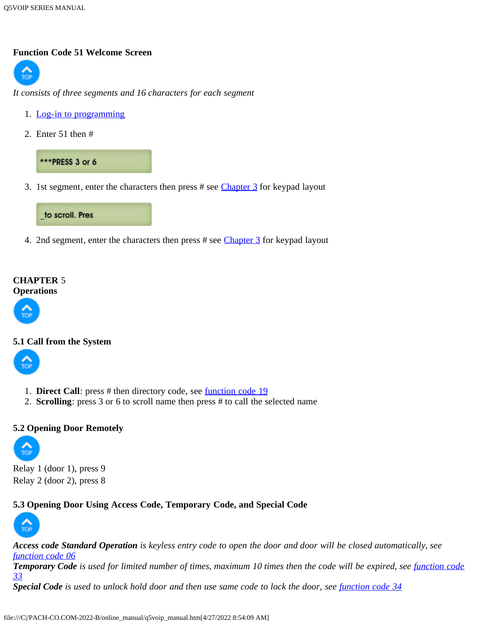#### <span id="page-31-0"></span>**[Functio](#page-0-1)n Code 51 Welcome Screen**



*It consists of three segments and 16 characters for each segment*

- 1. [Log-in to programming](#page-5-2)
- 2. Enter 51 then #



3. 1st segment, enter the characters then press # see [Chapter 3](#page-5-0) for keypad layout



4. 2nd segment, enter the characters then press # see [Chapter 3](#page-5-0) for keypad layout

#### <span id="page-31-1"></span>**CHAPTER** 5 **Operations**



# <span id="page-31-2"></span>**[5.1 Call](#page-0-1) from the System**



- 1. **Direct Call**: press # then directory code, see <u>[function code 19](#page-16-0)</u>
- 2. **Scrolling**: press 3 or 6 to scroll name then press # to call the selected name

# <span id="page-31-3"></span>**[5.2 Ope](#page-0-1)ning Door Remotely**



Relay 1 (door 1), press 9 Relay 2 (door 2), press 8

# <span id="page-31-4"></span>**5.3 Opening Door Using Access Code, Temporary Code, and Special Code**



*Access code Standard Operation is keyless entry code to open the door and door will be closed automatically, see [function code 06](#page-8-1)* **Temporary Code** is used for limited number of times, maximum 10 times then the code will be expired, see *[function code](#page-20-2) [33](#page-20-2) Special Code is used to unlock hold door and then use same code to lock the door, see [function code 34](#page-22-0)*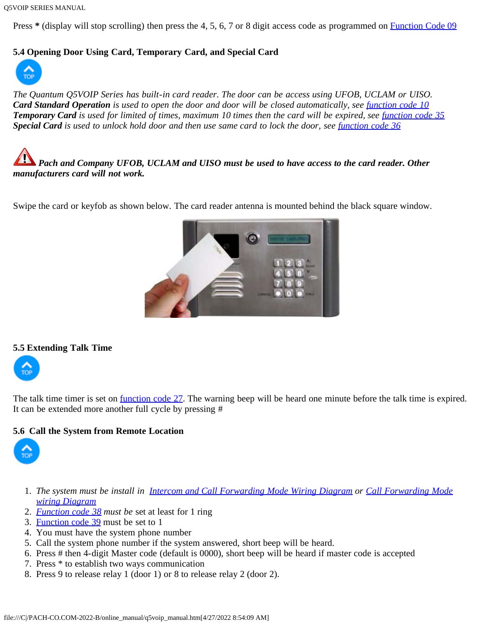Q5VOIP SERIES MANUAL

Press \* (display will stop scrolling) then press the 4, 5, 6, 7 or 8 digit access code as programmed on **[Function Code 09](#page-10-0)** 

# <span id="page-32-0"></span>**5.4 Opening Door Using Card, Temporary Card, and Special Card**



*The Quantum Q5VOIP Series has built-in card reader. The door can be access using UFOB, UCLAM or UISO. Card Standard Operation* is used to open the door and door will be closed automatically, see *[function code 10](#page-0-0)* **Temporary Card** is used for limited of times, maximum 10 times then the card will be expired, see *function code* 35 **Special Card** is used to unlock hold door and then use same card to lock the door, see *function code* 36

*Pach and Company UFOB, UCLAM and UISO must be used to have access to the card reader. Other manufacturers card will not work.*

Swipe the card or keyfob as shown below. The card reader antenna is mounted behind the black square window.



#### <span id="page-32-1"></span>**[5.5 Exte](#page-0-1)nding Talk Time**



The talk time timer is set on [function code 27.](#page-18-3) The warning beep will be heard one minute before the talk time is expired. It can be extended more another full cycle by pressing #

# **5.6 Call the System from Remote Location**



- 1. *The system must be install in [Intercom and Call Forwarding Mode Wiring Diagram](#page-0-0) or [Call Forwarding Mode](#page-0-0) [wiring Diagram](#page-0-0)*
- 2. *[Function code 38](#page-25-0) must be* set at least for 1 ring
- 3. [Function code 39](#page-26-0) must be set to 1
- 4. You must have the system phone number
- 5. Call the system phone number if the system answered, short beep will be heard.
- 6. Press # then 4-digit Master code (default is 0000), short beep will be heard if master code is accepted
- 7. Press \* to establish two ways communication
- 8. Press 9 to release relay 1 (door 1) or 8 to release relay 2 (door 2).